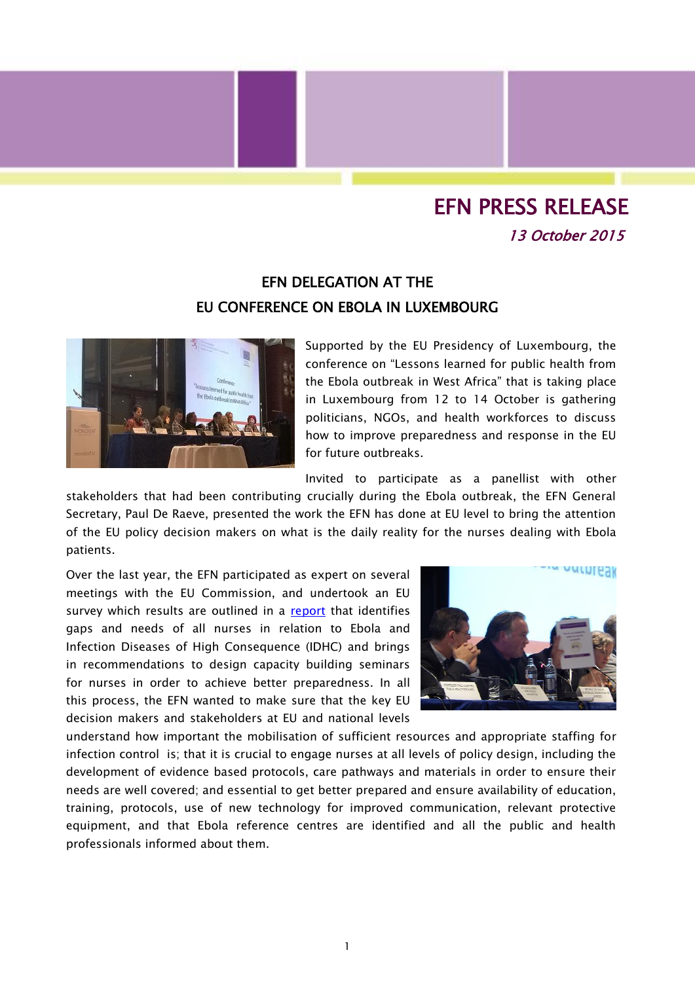## EFN PRESS RELEASE 13 October 2015

## EFN DELEGATION AT THE EU CONFERENCE ON EBOLA IN LUXEMBOURG



Supported by the EU Presidency of Luxembourg, the conference on "Lessons learned for public health from the Ebola outbreak in West Africa" that is taking place in Luxembourg from 12 to 14 October is gathering politicians, NGOs, and health workforces to discuss how to improve preparedness and response in the EU for future outbreaks.

Invited to participate as a panellist with other

stakeholders that had been contributing crucially during the Ebola outbreak, the EFN General Secretary, Paul De Raeve, presented the work the EFN has done at EU level to bring the attention of the EU policy decision makers on what is the daily reality for the nurses dealing with Ebola patients.

Over the last year, the EFN participated as expert on several meetings with the EU Commission, and undertook an EU survey which results are outlined in a [report](http://www.efnweb.be/wp-content/uploads/EFN-Report-MS-Preparedness-Ebola-Final-Sept.2015.pdf) that identifies gaps and needs of all nurses in relation to Ebola and Infection Diseases of High Consequence (IDHC) and brings in recommendations to design capacity building seminars for nurses in order to achieve better preparedness. In all this process, the EFN wanted to make sure that the key EU decision makers and stakeholders at EU and national levels



understand how important the mobilisation of sufficient resources and appropriate staffing for infection control is; that it is crucial to engage nurses at all levels of policy design, including the development of evidence based protocols, care pathways and materials in order to ensure their needs are well covered; and essential to get better prepared and ensure availability of education, training, protocols, use of new technology for improved communication, relevant protective equipment, and that Ebola reference centres are identified and all the public and health professionals informed about them.